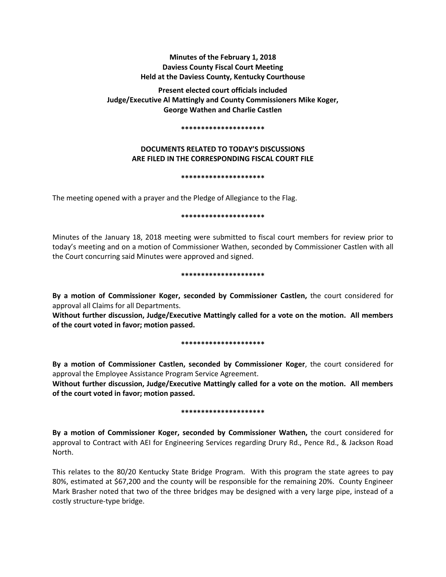# **Minutes of the February 1, 2018 Daviess County Fiscal Court Meeting Held at the Daviess County, Kentucky Courthouse**

**Present elected court officials included Judge/Executive Al Mattingly and County Commissioners Mike Koger, George Wathen and Charlie Castlen** 

#### **\*\*\*\*\*\*\*\*\*\*\*\*\*\*\*\*\*\*\*\*\***

## **DOCUMENTS RELATED TO TODAY'S DISCUSSIONS ARE FILED IN THE CORRESPONDING FISCAL COURT FILE**

#### **\*\*\*\*\*\*\*\*\*\*\*\*\*\*\*\*\*\*\*\*\***

The meeting opened with a prayer and the Pledge of Allegiance to the Flag.

#### **\*\*\*\*\*\*\*\*\*\*\*\*\*\*\*\*\*\*\*\*\***

Minutes of the January 18, 2018 meeting were submitted to fiscal court members for review prior to today's meeting and on a motion of Commissioner Wathen, seconded by Commissioner Castlen with all the Court concurring said Minutes were approved and signed.

#### **\*\*\*\*\*\*\*\*\*\*\*\*\*\*\*\*\*\*\*\*\***

**By a motion of Commissioner Koger, seconded by Commissioner Castlen,** the court considered for approval all Claims for all Departments.

**Without further discussion, Judge/Executive Mattingly called for a vote on the motion. All members of the court voted in favor; motion passed.** 

#### **\*\*\*\*\*\*\*\*\*\*\*\*\*\*\*\*\*\*\*\*\***

**By a motion of Commissioner Castlen, seconded by Commissioner Koger**, the court considered for approval the Employee Assistance Program Service Agreement.

**Without further discussion, Judge/Executive Mattingly called for a vote on the motion. All members of the court voted in favor; motion passed.** 

### **\*\*\*\*\*\*\*\*\*\*\*\*\*\*\*\*\*\*\*\*\***

**By a motion of Commissioner Koger, seconded by Commissioner Wathen,** the court considered for approval to Contract with AEI for Engineering Services regarding Drury Rd., Pence Rd., & Jackson Road North.

This relates to the 80/20 Kentucky State Bridge Program. With this program the state agrees to pay 80%, estimated at \$67,200 and the county will be responsible for the remaining 20%. County Engineer Mark Brasher noted that two of the three bridges may be designed with a very large pipe, instead of a costly structure-type bridge.